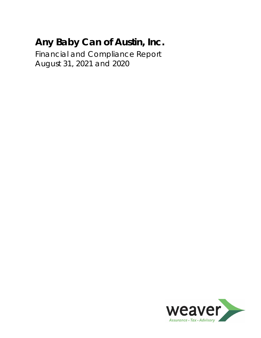Financial and Compliance Report August 31, 2021 and 2020

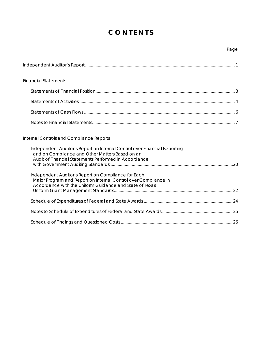# **C O N T E N T S**

| <b>Financial Statements</b>                                                                                                                                                           |  |
|---------------------------------------------------------------------------------------------------------------------------------------------------------------------------------------|--|
|                                                                                                                                                                                       |  |
|                                                                                                                                                                                       |  |
|                                                                                                                                                                                       |  |
|                                                                                                                                                                                       |  |
| Internal Controls and Compliance Reports                                                                                                                                              |  |
| Independent Auditor's Report on Internal Control over Financial Reporting<br>and on Compliance and Other Matters Based on an<br>Audit of Financial Statements Performed in Accordance |  |
| Independent Auditor's Report on Compliance for Each<br>Major Program and Report on Internal Control over Compliance in<br>Accordance with the Uniform Guidance and State of Texas     |  |
|                                                                                                                                                                                       |  |
|                                                                                                                                                                                       |  |
|                                                                                                                                                                                       |  |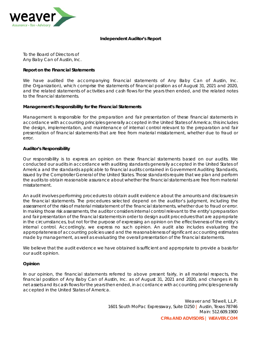

#### **Independent Auditor's Report**

To the Board of Directors of Any Baby Can of Austin, Inc.

### **Report on the Financial Statements**

We have audited the accompanying financial statements of Any Baby Can of Austin, Inc. (the Organization), which comprise the statements of financial position as of August 31, 2021 and 2020, and the related statements of activities and cash flows for the years then ended, and the related notes to the financial statements.

#### **Management's Responsibility for the Financial Statements**

Management is responsible for the preparation and fair presentation of these financial statements in accordance with accounting principles generally accepted in the United States of America; this includes the design, implementation, and maintenance of internal control relevant to the preparation and fair presentation of financial statements that are free from material misstatement, whether due to fraud or error.

#### **Auditor's Responsibility**

Our responsibility is to express an opinion on these financial statements based on our audits. We conducted our audits in accordance with auditing standards generally accepted in the United States of America and the standards applicable to financial audits contained in Government Auditing Standards, issued by the Comptroller General of the United States. Those standards require that we plan and perform the audits to obtain reasonable assurance about whether the financial statements are free from material misstatement.

An audit involves performing procedures to obtain audit evidence about the amounts and disclosures in the financial statements. The procedures selected depend on the auditor's judgment, including the assessment of the risks of material misstatement of the financial statements, whether due to fraud or error. In making those risk assessments, the auditor considers internal control relevant to the entity's preparation and fair presentation of the financial statements in order to design audit procedures that are appropriate in the circumstances, but not for the purpose of expressing an opinion on the effectiveness of the entity's internal control. Accordingly, we express no such opinion. An audit also includes evaluating the appropriateness of accounting policies used and the reasonableness of significant accounting estimates made by management, as well as evaluating the overall presentation of the financial statements.

We believe that the audit evidence we have obtained is sufficient and appropriate to provide a basis for our audit opinion.

#### **Opinion**

In our opinion, the financial statements referred to above present fairly, in all material respects, the financial position of Any Baby Can of Austin, Inc. as of August 31, 2021 and 2020, and changes in its net assets and its cash flows for the years then ended, in accordance with accounting principles generally accepted in the United States of America.

> Weaver and Tidwell, L.L.P. 1601 South MoPac Expressway, Suite D250 *|* Austin, Texas 78746 Main: 512.609.1900 **CPAs AND ADVISORS | WEAVER.COM**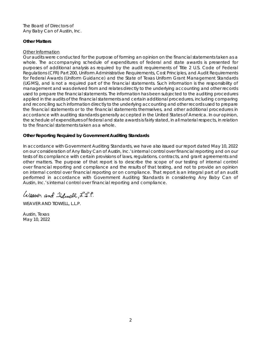The Board of Directors of Any Baby Can of Austin, Inc.

### **Other Matters**

### *Other Information*

Our audits were conducted for the purpose of forming an opinion on the financial statements taken as a whole. The accompanying schedule of expenditures of federal and state awards is presented for purposes of additional analysis as required by the audit requirements of Title 2 U.S. *Code of Federal Regulations (CFR) Part 200, Uniform Administrative Requirements, Cost Principles, and Audit Requirements for Federal Awards (Uniform Guidance)* and the State of Texas Uniform Grant Management Standards (UGMS), and is not a required part of the financial statements. Such information is the responsibility of management and was derived from and relates directly to the underlying accounting and other records used to prepare the financial statements. The information has been subjected to the auditing procedures applied in the audits of the financial statements and certain additional procedures, including comparing and reconciling such information directly to the underlying accounting and other records used to prepare the financial statements or to the financial statements themselves, and other additional procedures in accordance with auditing standards generally accepted in the United States of America. In our opinion, the schedule of expenditures of federal and state awards is fairly stated, in all material respects, in relation to the financial statements taken as a whole.

### **Other Reporting Required by Government Auditing Standards**

In accordance with *Government Auditing Standards*, we have also issued our report dated May 10, 2022 on our consideration of Any Baby Can of Austin, Inc.'s internal control over financial reporting and on our tests of its compliance with certain provisions of laws, regulations, contracts, and grant agreements and other matters. The purpose of that report is to describe the scope of our testing of internal control over financial reporting and compliance and the results of that testing, and not to provide an opinion on internal control over financial reporting or on compliance. That report is an integral part of an audit performed in accordance with *Government Auditing Standards* in considering Any Baby Can of Austin, Inc.'s internal control over financial reporting and compliance.

Weaver and Iiduell, L.S.P.

WEAVER AND TIDWELL, L.L.P.

Austin, Texas May 10, 2022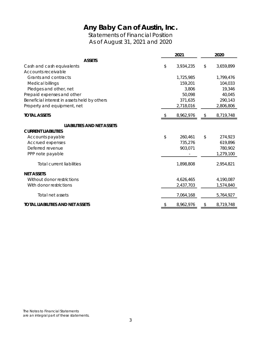Statements of Financial Position As of August 31, 2021 and 2020

|                                              | 2021 |           | 2020            |  |
|----------------------------------------------|------|-----------|-----------------|--|
| <b>ASSETS</b>                                |      |           |                 |  |
| Cash and cash equivalents                    | \$   | 3,934,235 | \$<br>3,659,899 |  |
| Accounts receivable                          |      |           |                 |  |
| Grants and contracts                         |      | 1,725,985 | 1,799,476       |  |
| Medical billings                             |      | 159,201   | 104,033         |  |
| Pledges and other, net                       |      | 3,806     | 19,346          |  |
| Prepaid expenses and other                   |      | 50,098    | 40,045          |  |
| Beneficial interest in assets held by others |      | 371,635   | 290,143         |  |
| Property and equipment, net                  |      | 2,718,016 | 2,806,806       |  |
| <b>TOTAL ASSETS</b>                          |      | 8,962,976 | \$<br>8,719,748 |  |
| LIABILITIES AND NET ASSETS                   |      |           |                 |  |
| <b>CURRENT LIABILITIES</b>                   |      |           |                 |  |
| Accounts payable                             | \$   | 260,461   | \$<br>274,923   |  |
| Accrued expenses                             |      | 735,276   | 619,896         |  |
| Deferred revenue                             |      | 903,071   | 780,902         |  |
| PPP note payable                             |      |           | 1,279,100       |  |
| <b>Total current liabilities</b>             |      | 1,898,808 | 2,954,821       |  |
| <b>NET ASSETS</b>                            |      |           |                 |  |
| Without donor restrictions                   |      | 4,626,465 | 4,190,087       |  |
| With donor restrictions                      |      | 2,437,703 | 1,574,840       |  |
| Total net assets                             |      | 7,064,168 | 5,764,927       |  |
| TOTAL LIABILITIES AND NET ASSETS             | \$   | 8,962,976 | \$<br>8,719,748 |  |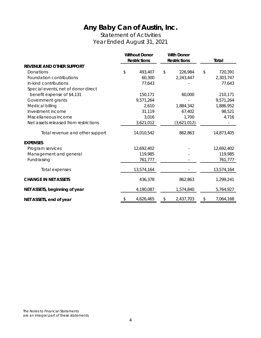### Statement of Activities Year Ended August 31, 2021

|                                       |    | <b>Without Donor</b><br><b>Restrictions</b> |    | <b>With Donor</b><br><b>Restrictions</b> |    | <b>Total</b> |
|---------------------------------------|----|---------------------------------------------|----|------------------------------------------|----|--------------|
| <b>REVENUE AND OTHER SUPPORT</b>      |    |                                             |    |                                          |    |              |
| Donations                             | \$ | 493,407                                     | \$ | 226,984                                  | \$ | 720,391      |
| Foundation contributions              |    | 60,300                                      |    | 2,243,447                                |    | 2,303,747    |
| In-kind contributions                 |    | 77,643                                      |    |                                          |    | 77,643       |
| Special events, net of donor direct   |    |                                             |    |                                          |    |              |
| benefit expense of \$4,131            |    | 150,171                                     |    | 60,000                                   |    | 210,171      |
| Government grants                     |    | 9,571,264                                   |    |                                          |    | 9,571,264    |
| Medical billing                       |    | 2,610                                       |    | 1,884,342                                |    | 1,886,952    |
| Investment income                     |    | 31,119                                      |    | 67,402                                   |    | 98,521       |
| Miscellaneous income                  |    | 3,016                                       |    | 1,700                                    |    | 4,716        |
| Net assets released from restrictions |    | 3,621,012                                   |    | (3,621,012)                              |    |              |
| Total revenue and other support       |    | 14,010,542                                  |    | 862,863                                  |    | 14,873,405   |
| <b>EXPENSES</b>                       |    |                                             |    |                                          |    |              |
| Program services                      |    | 12,692,402                                  |    |                                          |    | 12,692,402   |
| Management and general                |    | 119,985                                     |    |                                          |    | 119,985      |
| Fundraising                           |    | 761,777                                     |    |                                          |    | 761,777      |
| Total expenses                        |    | 13,574,164                                  |    |                                          |    | 13,574,164   |
| <b>CHANGE IN NET ASSETS</b>           |    | 436,378                                     |    | 862,863                                  |    | 1,299,241    |
| NET ASSETS, beginning of year         |    | 4,190,087                                   |    | 1,574,840                                |    | 5,764,927    |
| NET ASSETS, end of year               | \$ | 4,626,465                                   | \$ | 2,437,703                                | \$ | 7,064,168    |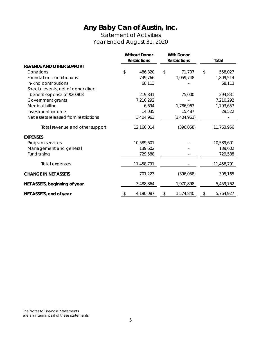Statement of Activities Year Ended August 31, 2020

|                                       |    | <b>Without Donor</b><br><b>Restrictions</b> |    | <b>With Donor</b><br><b>Restrictions</b> |    | Total      |
|---------------------------------------|----|---------------------------------------------|----|------------------------------------------|----|------------|
| <b>REVENUE AND OTHER SUPPORT</b>      |    |                                             |    |                                          |    |            |
| Donations                             | \$ | 486,320                                     | \$ | 71,707                                   | \$ | 558,027    |
| Foundation contributions              |    | 749,766                                     |    | 1,059,748                                |    | 1,809,514  |
| In-kind contributions                 |    | 68,113                                      |    |                                          |    | 68,113     |
| Special events, net of donor direct   |    |                                             |    |                                          |    |            |
| benefit expense of \$20,908           |    | 219,831                                     |    | 75,000                                   |    | 294,831    |
| Government grants                     |    | 7,210,292                                   |    |                                          |    | 7,210,292  |
| Medical billing                       |    | 6,694                                       |    | 1,786,963                                |    | 1,793,657  |
| Investment income                     |    | 14,035                                      |    | 15,487                                   |    | 29,522     |
| Net assets released from restrictions |    | 3,404,963                                   |    | (3,404,963)                              |    |            |
| Total revenue and other support       |    | 12,160,014                                  |    | (396, 058)                               |    | 11,763,956 |
| <b>EXPENSES</b>                       |    |                                             |    |                                          |    |            |
| Program services                      |    | 10,589,601                                  |    |                                          |    | 10,589,601 |
| Management and general                |    | 139,602                                     |    |                                          |    | 139,602    |
| Fundraising                           |    | 729,588                                     |    |                                          |    | 729,588    |
| Total expenses                        |    | 11,458,791                                  |    |                                          |    | 11,458,791 |
| <b>CHANGE IN NET ASSETS</b>           |    | 701,223                                     |    | (396, 058)                               |    | 305,165    |
| NET ASSETS, beginning of year         |    | 3,488,864                                   |    | 1,970,898                                |    | 5,459,762  |
| NET ASSETS, end of year               | \$ | 4,190,087                                   | \$ | 1,574,840                                | \$ | 5,764,927  |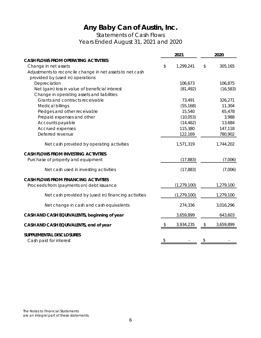### Statements of Cash Flows Years Ended August 31, 2021 and 2020

|                                                                                               | 2021 |               | 2020 |           |
|-----------------------------------------------------------------------------------------------|------|---------------|------|-----------|
| <b>CASH FLOWS FROM OPERATING ACTIVITIES</b>                                                   |      |               |      |           |
| Change in net assets                                                                          | \$   | 1,299,241     | \$   | 305,165   |
| Adjustments to reconcile change in net assets to net cash                                     |      |               |      |           |
| provided by (used in) operations                                                              |      |               |      |           |
| Depreciation                                                                                  |      | 106,673       |      | 106,875   |
| Net (gain) loss in value of beneficial interest<br>Change in operating assets and liabilities |      | (81, 492)     |      | (16, 583) |
| Grants and contracts receivable                                                               |      | 73,491        |      | 326,271   |
| Medical billings                                                                              |      | (55, 168)     |      | 11,304    |
| Pledges and other receivable                                                                  |      | 15,540        |      | 65,478    |
| Prepaid expenses and other                                                                    |      | (10,053)      |      | 3,988     |
| Accounts payable                                                                              |      | (14, 462)     |      | 13,684    |
| Accrued expenses                                                                              |      | 115,380       |      | 147,118   |
| Deferred revenue                                                                              |      | 122,169       |      | 780,902   |
| Net cash provided by operating activities                                                     |      | 1,571,319     |      | 1,744,202 |
| <b>CASH FLOWS FROM INVESTING ACTIVITIES</b>                                                   |      |               |      |           |
| Purchase of property and equipment                                                            |      | (17, 883)     |      | (7,006)   |
| Net cash used in investing activities                                                         |      | (17, 883)     |      | (7,006)   |
| <b>CASH FLOWS FROM FINANCING ACTIVITIES</b>                                                   |      |               |      |           |
| Proceeds from (payments on) debt issuance                                                     |      | (1, 279, 100) |      | 1,279,100 |
| Net cash provided by (used in) financing activities                                           |      | (1, 279, 100) |      | 1,279,100 |
| Net change in cash and cash equivalents                                                       |      | 274,336       |      | 3,016,296 |
| CASH AND CASH EQUIVALENTS, beginning of year                                                  |      | 3,659,899     |      | 643,603   |
| CASH AND CASH EQUIVALENTS, end of year                                                        | \$   | 3,934,235     | \$   | 3,659,899 |
| <b>SUPPLEMENTAL DISCLOSURES</b>                                                               |      |               |      |           |
| Cash paid for interest                                                                        | \$   |               | \$   |           |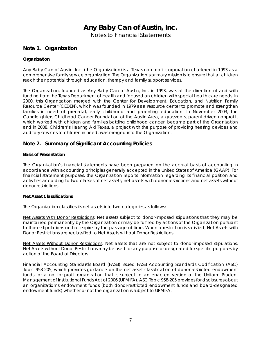Notes to Financial Statements

### **Note 1. Organization**

### **Organization**

Any Baby Can of Austin, Inc. (the Organization) is a Texas non-profit corporation chartered in 1993 as a comprehensive family service organization. The Organization's primary mission is to ensure that all children reach their potential through education, therapy and family support services.

The Organization, founded as Any Baby Can of Austin, Inc. in 1993, was at the direction of and with funding from the Texas Department of Health and focused on children with special health care needs. In 2000, this Organization merged with the Center for Development, Education, and Nutrition Family Resource Center (CEDEN), which was founded in 1979 as a resource center to promote and strengthen families in need of prenatal, early childhood and parenting education. In November 2003, the Candlelighters Childhood Cancer Foundation of the Austin Area, a grassroots, parent-driven nonprofit, which worked with children and families battling childhood cancer, became part of the Organization and in 2008, Children's Hearing Aid Texas, a project with the purpose of providing hearing devices and auditory services to children in need, was merged into the Organization.

### **Note 2. Summary of Significant Accounting Policies**

### **Basis of Presentation**

The Organization's financial statements have been prepared on the accrual basis of accounting in accordance with accounting principles generally accepted in the United States of America (GAAP). For financial statement purposes, the Organization reports information regarding its financial position and activities according to two classes of net assets; net assets with donor restrictions and net assets without donor restrictions.

### **Net Asset Classifications**

The Organization classifies its net assets into two categories as follows:

*Net Assets With Donor Restrictions:* Net assets subject to donor-imposed stipulations that they may be maintained permanently by the Organization or may be fulfilled by actions of the Organization pursuant to those stipulations or that expire by the passage of time. When a restriction is satisfied, Net Assets with Donor Restrictions are reclassified to Net Assets without Donor Restrictions.

*Net Assets Without Donor Restrictions:* Net assets that are not subject to donor-imposed stipulations. Net Assets without Donor Restrictions may be used for any purpose or designated for specific purposes by action of the Board of Directors.

Financial Accounting Standards Board (FASB) issued FASB Accounting Standards Codification (ASC) Topic 958-205, which provides guidance on the net asset classification of donor-restricted endowment funds for a not-for-profit organization that is subject to an enacted version of the Uniform Prudent Management of Institutional Funds Act of 2006 (UPMIFA). ASC Topic 958-205 provides for disclosures about an organization's endowment funds (both donor-restricted endowment funds and board-designated endowment funds) whether or not the organization is subject to UPMIFA.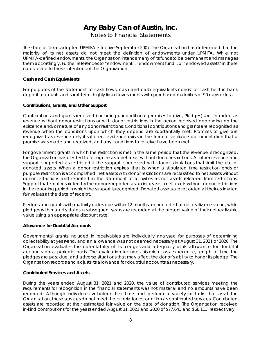Notes to Financial Statements

The state of Texas adopted UPMIFA effective September 2007. The Organization has determined that the majority of its net assets do not meet the definition of endowments under UPMIFA. While not UPMIFA-defined endowments, the Organization intends many of its funds to be permanent and manages them accordingly. Further references to "endowment", "endowment fund", or "endowed assets" in these notes relate to those intentions of the Organization.

### **Cash and Cash Equivalents**

For purposes of the statement of cash flows, cash and cash equivalents consist of cash held in bank deposit accounts and short-term, highly liquid investments with purchased maturities of 90 days or less.

### **Contributions, Grants, and Other Support**

Contributions and grants received (including unconditional promises to give, Pledges) are recorded as revenue without donor restrictions or with donor restrictions in the period received depending on the existence and/or nature of any donor restrictions. Conditional contributions and grants are recognized as revenue when the conditions upon which they depend are substantially met. Promises to give are recognized as revenue only if sufficient evidence exists in the form of verifiable documentation that a promise was made and received, and any conditions to receive have been met.

For government grants in which the restriction is met in the same period that the revenue is recognized, the Organization has elected to recognize as a net asset without donor restrictions. All other revenue and support is reported as restricted if the support is received with donor stipulations that limit the use of donated assets. When a donor restriction expires, that is, when a stipulated time restriction ends or purpose restriction is accomplished, net assets with donor restrictions are reclassified to net assets without donor restrictions and reported in the statement of activities as net assets released from restrictions. Support that is not restricted by the donor is reported as an increase in net assets without donor restrictions in the reporting period in which the support is recognized. Donated assets are recorded at their estimated fair values at the date of receipt.

Pledges and grants with maturity dates due within 12 months are recorded at net realizable value, while pledges with maturity dates in subsequent years are recorded at the present value of their net realizable value using an appropriate discount rate.

#### **Allowance for Doubtful Accounts**

Governmental grants included in receivables are individually analyzed for purposes of determining collectability at year-end, and an allowance was not deemed necessary at August 31, 2021 or 2020. The Organization evaluates the collectability of its pledges and adequacy of its allowance for doubtful accounts on a periodic basis. The evaluation includes historical loss experience, length of time the pledges are past due, and adverse situations that may affect the donor's ability to honor its pledge. The Organization records and adjusts its allowance for doubtful accounts as necessary.

#### **Contributed Services and Assets**

During the years ended August 31, 2021 and 2020, the value of contributed services meeting the requirements for recognition in the financial statements was not material and no amounts have been recorded. Although individuals volunteer their time and perform a variety of tasks that assist the Organization, these services do not meet the criteria for recognition as contributed services. Contributed assets are recorded at their estimated fair value on the date of donation. The Organization received in-kind contributions for the years ended August 31, 2021 and 2020 of \$77,643 and \$68,113, respectively.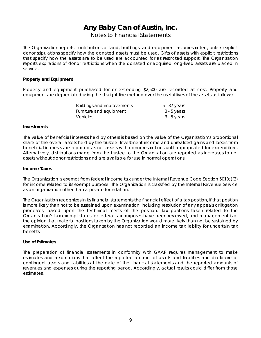Notes to Financial Statements

The Organization reports contributions of land, buildings, and equipment as unrestricted, unless explicit donor stipulations specify how the donated assets must be used. Gifts of assets with explicit restrictions that specify how the assets are to be used are accounted for as restricted support. The Organization reports expirations of donor restrictions when the donated or acquired long-lived assets are placed in service.

### **Property and Equipment**

Property and equipment purchased for or exceeding \$2,500 are recorded at cost. Property and equipment are depreciated using the straight-line method over the useful lives of the assets as follows:

| <b>Buildings and improvements</b> | 5 - 37 years |
|-----------------------------------|--------------|
| Furniture and equipment           | 3 - 5 years  |
| <b>Vehicles</b>                   | 3 - 5 years  |

#### **Investments**

The value of beneficial interests held by others is based on the value of the Organization's proportional share of the overall assets held by the trustee. Investment income and unrealized gains and losses from beneficial interests are reported as net assets with donor restrictions until appropriated for expenditure. Alternatively, distributions made from the trustee to the Organization are reported as increases to net assets without donor restrictions and are available for use in normal operations.

#### **Income Taxes**

The Organization is exempt from federal income tax under the Internal Revenue Code Section 501(c)(3) for income related to its exempt purpose. The Organization is classified by the Internal Revenue Service as an organization other than a private foundation.

The Organization recognizes in its financial statements the financial effect of a tax position, if that position is more likely than not to be sustained upon examination, including resolution of any appeals or litigation processes, based upon the technical merits of the position. Tax positions taken related to the Organization's tax exempt status for federal tax purposes have been reviewed, and management is of the opinion that material positions taken by the Organization would more likely than not be sustained by examination. Accordingly, the Organization has not recorded an income tax liability for uncertain tax benefits.

### **Use of Estimates**

The preparation of financial statements in conformity with GAAP requires management to make estimates and assumptions that affect the reported amount of assets and liabilities and disclosure of contingent assets and liabilities at the date of the financial statements and the reported amounts of revenues and expenses during the reporting period. Accordingly, actual results could differ from those estimates.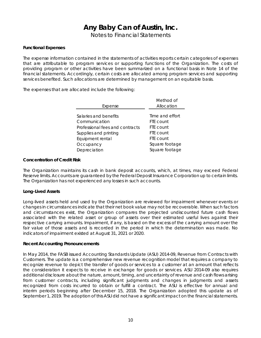Notes to Financial Statements

### **Functional Expenses**

The expense information contained in the statements of activities reports certain categories of expenses that are attributable to program services or supporting functions of the Organization. The costs of providing program or other activities have been summarized on a functional basis in Note 14 of the financial statements. Accordingly, certain costs are allocated among program services and supporting services benefited. Such allocations are determined by management on an equitable basis.

The expenses that are allocated include the following:

|                                 | Method of       |
|---------------------------------|-----------------|
| Expense                         | Allocation      |
|                                 |                 |
| Salaries and benefits           | Time and effort |
| Communication                   | FTE count       |
| Professional fees and contracts | FTF count       |
| Supplies and printing           | FTF count       |
| Equipment rental                | FTE count       |
| Occupancy                       | Square footage  |
| Depreciation                    | Square footage  |

#### **Concentration of Credit Risk**

The Organization maintains its cash in bank deposit accounts, which, at times, may exceed Federal Reserve limits. Accounts are guaranteed by the Federal Deposit Insurance Corporation up to certain limits. The Organization has not experienced any losses in such accounts.

#### **Long-Lived Assets**

Long-lived assets held and used by the Organization are reviewed for impairment whenever events or changes in circumstances indicate that their net book value may not be recoverable. When such factors and circumstances exist, the Organization compares the projected undiscounted future cash flows associated with the related asset or group of assets over their estimated useful lives against their respective carrying amounts. Impairment, if any, is based on the excess of the carrying amount over the fair value of those assets and is recorded in the period in which the determination was made. No indicators of impairment existed at August 31, 2021 or 2020.

#### **Recent Accounting Pronouncements**

In May 2014, the FASB issued Accounting Standards Update (ASU) 2014-09, *Revenue from Contracts with Customers.* The update is a comprehensive new revenue recognition model that requires a company to recognize revenue to depict the transfer of goods or services to a customer at an amount that reflects the consideration it expects to receive in exchange for goods or services. ASU 2014-09 also requires additional disclosure about the nature, amount, timing, and uncertainty of revenue and cash flows arising from customer contracts, including significant judgments and changes in judgments and assets recognized from costs incurred to obtain or fulfill a contract. The ASU is effective for annual and interim periods beginning after December 15, 2018. The Organization adopted this update as of September 1, 2019. The adoption of this ASU did not have a significant impact on the financial statements.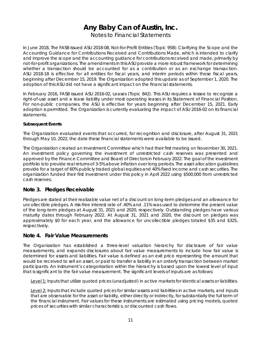Notes to Financial Statements

In June 2018, The FASB issued ASU 2018-08, Not-for-Profit Entities (Topic 958*): Clarifying the Scope and the*  Accounting Guidance for Contributions Received and Contributions Made, which is intended to clarify and improve the scope and the accounting guidance for contributions received and made, primarily by not-for-profit organizations. The amendments in this ASU provide a more robust framework for determining whether a transaction should be accounted for as a contribution or as an exchange transaction. ASU 2018-18 is effective for all entities for fiscal years, and interim periods within those fiscal years, beginning after December 15, 2019. The Organization adopted this update as of September 1, 2020. The adoption of this ASU did not have a significant impact on the financial statements.

In February 2016, FASB issued ASU 2016-02, *Leases (Topic 842)*. This ASU requires a lessee to recognize a right-of-use asset and a lease liability under most operating leases in its Statement of Financial Position. For non-public companies, the ASU is effective for years beginning after December 15, 2021. Early adoption is permitted. The Organization is currently evaluating the impact of ASU 2016-02 on its financial statements.

### **Subsequent Events**

The Organization evaluated events that occurred, for recognition and disclosure, after August 31, 2021 through May 10, 2022, the date these financial statements were available to be issued.

The Organization created an Investment Committee which had their first meeting on November 30, 2021. An investment policy governing the investment of unrestricted cash reserves was presented and approved by the Finance Committee and Board of Directors in February 2022. The goal of the investment portfolio is to provide real returns of 3-5% above inflation over long periods. The asset allocation guidelines provide for a target of 60% publicly traded global equities and 40% fixed income and cash securities. The organization funded their first investment under this policy in April 2022 using \$500,000 from unrestricted cash reserves.

### **Note 3. Pledges Receivable**

Pledges are stated at their realizable value net of a discount on long-term pledges and an allowance for uncollectible pledges. A risk-free interest rate of .40% and .11% was used to determine the present value of the long-term pledges at August 31, 2021 and 2020, respectively. Outstanding pledges have various maturity dates through February 2022. At August 31, 2021 and 2020, the discount on pledges was approximately \$0 for each year, and the allowance for uncollectible pledges totaled \$35 and \$325, respectively.

### **Note 4. Fair Value Measurements**

The Organization has established a three-level valuation hierarchy for disclosure of fair value measurements, and expands disclosures about fair value measurements to include how fair value is determined for assets and liabilities. Fair value is defined as an exit price representing the amount that would be received to sell an asset, or paid to transfer a liability in an orderly transaction between market participants. An instrument's categorization within the hierarchy is based upon the lowest level of input that is significant to the fair value measurement. The significant levels of inputs are as follows:

*Level 1:* Inputs that utilize quoted prices (unadjusted) in active markets for identical assets or liabilities.

*Level 2:* Inputs that include quoted prices for similar assets and liabilities in active markets, and inputs that are observable for the asset or liability, either directly or indirectly, for substantially the full term of the financial instrument. Fair values for these instruments are estimated using pricing models, quoted prices of securities with similar characteristics, or discounted cash flows.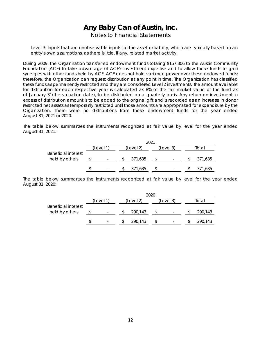Notes to Financial Statements

Level 3: Inputs that are unobservable inputs for the asset or liability, which are typically based on an entity's own assumptions, as there is little, if any, related market activity.

During 2009, the Organization transferred endowment funds totaling \$157,306 to the Austin Community Foundation (ACF) to take advantage of ACF's investment expertise and to allow these funds to gain synergies with other funds held by ACF. ACF does not hold variance power over these endowed funds; therefore, the Organization can request distribution at any point in time. The Organization has classified these funds as permanently restricted and they are considered Level 2 investments. The amount available for distribution for each respective year is calculated as 8% of the fair market value of the fund as of January 31(the valuation date), to be distributed on a quarterly basis. Any return on investment in excess of distribution amount is to be added to the original gift and is recorded as an increase in donor restricted net assets as temporarily restricted until those amounts are appropriated for expenditure by the Organization. There were no distributions from these endowment funds for the year ended August 31, 2021 or 2020.

The table below summarizes the instruments recognized at fair value by level for the year ended August 31, 2021:

|                     |  | (Level 1 | (Level 2) |         | (Level 3) |                          | Total |         |
|---------------------|--|----------|-----------|---------|-----------|--------------------------|-------|---------|
| Beneficial interest |  |          |           |         |           |                          |       |         |
| held by others      |  |          |           | 371,635 |           | $\overline{\phantom{a}}$ |       | 371,635 |
|                     |  |          |           | 371,635 |           |                          |       | 371,635 |

The table below summarizes the instruments recognized at fair value by level for the year ended August 31, 2020:

|                     |          | 2020 |           |         |  |  |  |         |           |  |                   |
|---------------------|----------|------|-----------|---------|--|--|--|---------|-----------|--|-------------------|
|                     | (Level 1 |      | (Level 2) |         |  |  |  |         | (Level 3) |  | <sup>r</sup> otal |
| Beneficial interest |          |      |           |         |  |  |  |         |           |  |                   |
| held by others      |          | -    |           | 290.143 |  |  |  | 290,143 |           |  |                   |
|                     |          |      |           | 290,143 |  |  |  | 290,143 |           |  |                   |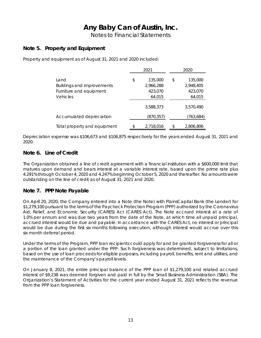Notes to Financial Statements

### **Note 5. Property and Equipment**

Property and equipment as of August 31, 2021 and 2020 included:

|                                                                                         | 2021 |                                           | 2020 |                                           |  |
|-----------------------------------------------------------------------------------------|------|-------------------------------------------|------|-------------------------------------------|--|
| Land<br><b>Buildings and improvements</b><br>Furniture and equipment<br><b>Vehicles</b> | \$   | 135,000<br>2,966,288<br>423,070<br>64,015 | \$   | 135,000<br>2,948,405<br>423,070<br>64,015 |  |
|                                                                                         |      | 3,588,373                                 |      | 3,570,490                                 |  |
| Accumulated depreciation                                                                |      | (870,357)                                 |      | (763, 684)                                |  |
| Total property and equipment                                                            |      | 2,718,016                                 |      | 2,806,806                                 |  |

Depreciation expense was \$106,673 and \$106,875 respectively for the years ended August 31, 2021 and 2020.

### **Note 6. Line of Credit**

The Organization obtained a line of credit agreement with a financial institution with a \$600,000 limit that matures upon demand and bears interest at a variable interest rate, based upon the prime rate plus 4.291% through October 4, 2020 and 4.247% beginning October 5, 2020 and thereafter. No amounts were outstanding on the line of credit as of August 31, 2021 and 2020.

### **Note 7. PPP Note Payable**

On April 20, 2020, the Company entered into a Note (the Note) with PlainsCapital Bank (the Lender) for \$1,279,100 pursuant to the terms of the Paycheck Protection Program (PPP) authorized by the Coronavirus Aid, Relief, and Economic Security (CARES) Act (CARES Act). The Note accrued interest at a rate of 1.0% per annum and was due two years from the date of the Note, at which time all unpaid principal, accrued interest would be due and payable. In accordance with the CARES Act, no interest or principal would be due during the first six months following execution, although interest would accrue over this six month deferral period.

Under the terms of the Program, PPP loan recipients could apply for and be granted forgiveness for all or a portion of the loan granted under the PPP. Such forgiveness was determined, subject to limitations, based on the use of loan proceeds for eligible purposes, including payroll, benefits, rent and utilities, and the maintenance of the Company's payroll levels.

On January 8, 2021, the entire principal balance of the PPP loan of \$1,279,100 and related accrued interest of \$9,238 was deemed forgiven and paid in full by the Small Business Administration (SBA). The Organization's Statement of Activities for the current year ended August 31, 2021 reflects the revenue from the PPP loan forgiveness.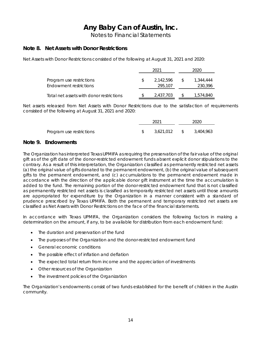Notes to Financial Statements

### **Note 8. Net Assets with Donor Restrictions**

Net Assets with Donor Restrictions consisted of the following at August 31, 2021 and 2020:

|                                                           | 2021                 | 2020                 |  |  |
|-----------------------------------------------------------|----------------------|----------------------|--|--|
| Program use restrictions<br><b>Endowment restrictions</b> | 2.142.596<br>295,107 | 1,344,444<br>230.396 |  |  |
| Total net assets with donor restrictions                  | 2.437.703            | 1,574,840            |  |  |

Net assets released from Net Assets with Donor Restrictions due to the satisfaction of requirements consisted of the following at August 31, 2021 and 2020:

|                          | 2021      | 2020       |           |  |
|--------------------------|-----------|------------|-----------|--|
| Program use restrictions | 3,621,012 | $\cdot$ \$ | 3,404,963 |  |

### **Note 9. Endowments**

The Organization has interpreted Texas UPMIFA as requiring the preservation of the fair value of the original gift as of the gift date of the donor-restricted endowment funds absent explicit donor stipulations to the contrary. As a result of this interpretation, the Organization classified as permanently restricted net assets (a) the original value of gifts donated to the permanent endowment, (b) the original value of subsequent gifts to the permanent endowment, and (c) accumulations to the permanent endowment made in accordance with the direction of the applicable donor gift instrument at the time the accumulation is added to the fund. The remaining portion of the donor-restricted endowment fund that is not classified as permanently restricted net assets is classified as temporarily restricted net assets until those amounts are appropriated for expenditure by the Organization in a manner consistent with a standard of prudence prescribed by Texas UPMIFA. Both the permanent and temporary restricted net assets are classified as Net Assets with Donor Restrictions on the face of the financial statements.

In accordance with Texas UPMIFA, the Organization considers the following factors in making a determination on the amount, if any, to be available for distribution from each endowment fund:

- The duration and preservation of the fund
- The purposes of the Organization and the donor-restricted endowment fund
- General economic conditions
- The possible effect of inflation and deflation
- The expected total return from income and the appreciation of investments
- Other resources of the Organization
- The investment policies of the Organization

The Organization's endowments consist of two funds established for the benefit of children in the Austin community.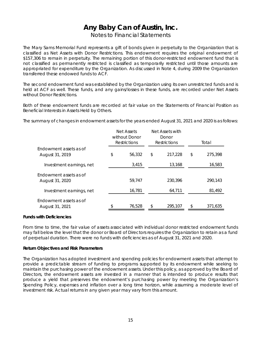Notes to Financial Statements

The Mary Sams Memorial Fund represents a gift of bonds given in perpetuity to the Organization that is classified as Net Assets with Donor Restrictions. This endowment requires the original endowment of \$157,306 to remain in perpetuity. The remaining portion of this donor-restricted endowment fund that is not classified as permanently restricted is classified as temporarily restricted until those amounts are appropriated for expenditure by the Organization. As discussed in Note 4, during 2009 the Organization transferred these endowed funds to ACF.

The second endowment fund was established by the Organization using its own unrestricted funds and is held at ACF as well. These funds, and any gains/losses in these funds, are recorded under Net Assets without Donor Restrictions.

Both of these endowment funds are recorded at fair value on the Statements of Financial Position as Beneficial Interests in Assets Held by Others.

The summary of changes in endowment assets for the years ended August 31, 2021 and 2020 is as follows:

|                                           | Net Assets<br>without Donor<br><b>Restrictions</b> |        | Net Assets with<br>Donor<br><b>Restrictions</b> | Total |         |  |
|-------------------------------------------|----------------------------------------------------|--------|-------------------------------------------------|-------|---------|--|
| Endowment assets as of<br>August 31, 2019 | \$                                                 | 56,332 | \$<br>217,228                                   | \$    | 275,398 |  |
| Investment earnings, net                  |                                                    | 3,415  | 13,168                                          |       | 16,583  |  |
| Endowment assets as of<br>August 31, 2020 |                                                    | 59,747 | 230,396                                         |       | 290,143 |  |
| Investment earnings, net                  |                                                    | 16,781 | 64,711                                          |       | 81,492  |  |
| Endowment assets as of<br>August 31, 2021 | \$                                                 | 76,528 | \$<br>295,107                                   | \$    | 371,635 |  |

#### **Funds with Deficiencies**

From time to time, the fair value of assets associated with individual donor restricted endowment funds may fall below the level that the donor or Board of Directors requires the Organization to retain as a fund of perpetual duration. There were no funds with deficiencies as of August 31, 2021 and 2020.

#### **Return Objectives and Risk Parameters**

The Organization has adopted investment and spending policies for endowment assets that attempt to provide a predictable stream of funding to programs supported by its endowment while seeking to maintain the purchasing power of the endowment assets. Under this policy, as approved by the Board of Directors, the endowment assets are invested in a manner that is intended to produce results that produce a yield that preserves the endowment's purchasing power by meeting the Organization's Spending Policy, expenses and inflation over a long time horizon, while assuming a moderate level of investment risk. Actual returns in any given year may vary from this amount.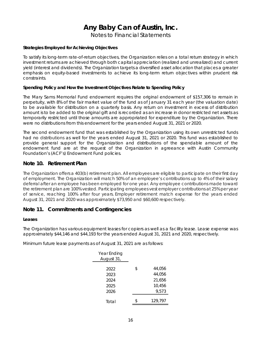Notes to Financial Statements

### **Strategies Employed for Achieving Objectives**

To satisfy its long-term rate-of-return objectives, the Organization relies on a total return strategy in which investment returns are achieved through both capital appreciation (realized and unrealized) and current yield (interest and dividends). The Organization targets a diversified asset allocation that places a greater emphasis on equity-based investments to achieve its long-term return objectives within prudent risk constraints.

### **Spending Policy and How the Investment Objectives Relate to Spending Policy**

The Mary Sams Memorial Fund endowment requires the original endowment of \$157,306 to remain in perpetuity, with 8% of the fair market value of the fund as of January 31 each year (the valuation date) to be available for distribution on a quarterly basis. Any return on investment in excess of distribution amount is to be added to the original gift and is recorded as an increase in donor restricted net assets as temporarily restricted until those amounts are appropriated for expenditure by the Organization. There were no distributions from this endowment for the years ended August 31, 2021 or 2020.

The second endowment fund that was established by the Organization using its own unrestricted funds had no distributions as well for the years ended August 31, 2021 or 2020. This fund was established to provide general support for the Organization and distributions of the spendable amount of the endowment fund are at the request of the Organization in agreeance with Austin Community Foundation's (ACF's) Endowment Fund policies.

### **Note 10. Retirement Plan**

The Organization offers a 403(b) retirement plan. All employees are eligible to participate on their first day of employment. The Organization will match 50% of an employee's contributions up to 4% of their salary deferral after an employee has been employed for one year. Any employee contributions made toward the retirement plan are 100% vested. Participating employees vest employer contributions at 25% per year of service, reaching 100% after four years. Employer retirement match expense for the years ended August 31, 2021 and 2020 was approximately \$73,950 and \$60,600 respectively.

### **Note 11. Commitments and Contingencies**

### **Leases**

The Organization has various equipment leases for copiers as well as a facility lease. Lease expense was approximately \$44,146 and \$44,193 for the years ended August 31, 2021 and 2020, respectively.

Minimum future lease payments as of August 31, 2021 are as follows:

| Year Ending<br>August 31,    |    |                                      |
|------------------------------|----|--------------------------------------|
| 2022<br>2023<br>2024<br>2025 | \$ | 44.056<br>44.056<br>21,656<br>10.456 |
| 2026                         |    | 9,573                                |
| Total                        | S  | 129,797                              |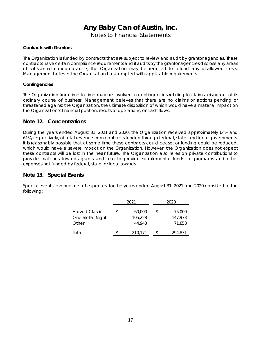Notes to Financial Statements

### **Contracts with Grantors**

The Organization is funded by contracts that are subject to review and audit by grantor agencies. These contracts have certain compliance requirements and if audits by the grantor agencies disclose any areas of substantial noncompliance, the Organization may be required to refund any disallowed costs. Management believes the Organization has complied with applicable requirements.

#### **Contingencies**

The Organization from time to time may be involved in contingencies relating to claims arising out of its ordinary course of business. Management believes that there are no claims or actions pending or threatened against the Organization, the ultimate disposition of which would have a material impact on the Organization's financial position, results of operations, or cash flows.

### **Note 12. Concentrations**

During the years ended August 31, 2021 and 2020, the Organization received approximately 64% and 61%, respectively, of total revenue from contracts funded through federal, state, and local governments. It is reasonably possible that at some time these contracts could cease, or funding could be reduced, which would have a severe impact on the Organization. However, the Organization does not expect these contracts will be lost in the near future. The Organization also relies on private contributions to provide matches towards grants and also to provide supplemental funds for programs and other expenses not funded by federal, state, or local awards.

### **Note 13. Special Events**

Special events revenue, net of expenses, for the years ended August 31, 2021 and 2020 consisted of the following:

|                                                      | 2021                              |   | 2020                        |
|------------------------------------------------------|-----------------------------------|---|-----------------------------|
| <b>Harvest Classic</b><br>One Stellar Night<br>Other | \$<br>60,000<br>105,228<br>44.943 | S | 75,000<br>147,973<br>71,858 |
| Total                                                | \$<br>210,171                     | S | 294,831                     |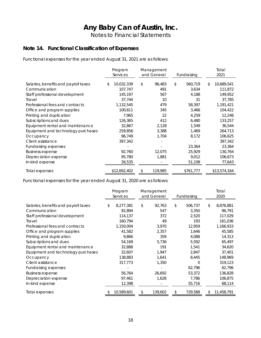Notes to Financial Statements

### **Note 14. Functional Classification of Expenses**

Functional expenses for the year ended August 31, 2021 are as follows:

|                                      | Program<br>Services | Management<br>and General | Fundraising   |     | Total<br>2021 |
|--------------------------------------|---------------------|---------------------------|---------------|-----|---------------|
| Salaries, benefits and payroll taxes | \$<br>10,032,339    | \$<br>96,483              | \$<br>560,719 | \$. | 10,689,541    |
| Communication                        | 107,747             | 491                       | 3,634         |     | 111,872       |
| Staff professional development       | 145,197             | 567                       | 4,188         |     | 149,952       |
| Travel                               | 37,744              | 10                        | 31            |     | 37,785        |
| Professional fees and contracts      | 1,132,545           | 479                       | 58,397        |     | 1,191,421     |
| Office and program supplies          | 100,611             | 345                       | 3,466         |     | 104,422       |
| Printing and duplication             | 7,965               | 22                        | 4,259         |     | 12,246        |
| Subscriptions and dues               | 126,365             | 412                       | 6,480         |     | 133,257       |
| Equipment rental and maintenance     | 32,867              | 2,128                     | 1,549         |     | 36,544        |
| Equipment and technology purchases   | 259,856             | 3,388                     | 1,469         |     | 264,713       |
| Occupancy                            | 96,749              | 1,704                     | 8,172         |     | 106,625       |
| Client assistance                    | 397,342             |                           |               |     | 397,342       |
| Fundraising expenses                 |                     |                           | 23,364        |     | 23,364        |
| <b>Business expense</b>              | 92,760              | 12,075                    | 25,929        |     | 130,764       |
| Depreciation expense                 | 95,780              | 1,881                     | 9,012         |     | 106,673       |
| In-kind expense                      | 26,535              |                           | 51,108        |     | 77,643        |
| Total expenses                       | \$12,692,402        | 119,985                   | \$761,777     |     | \$13,574,164  |

Functional expenses for the year ended August 31, 2020 are as follows:

|                                      | Program         | Management    |               | Total            |
|--------------------------------------|-----------------|---------------|---------------|------------------|
|                                      | Services        | and General   | Fundraising   | 2020             |
| Salaries, benefits and payroll taxes | \$<br>8,277,381 | \$<br>92.763  | \$<br>506,737 | \$<br>8,876,881  |
| Communication                        | 92,894          | 547           | 3,350         | 96,791           |
| Staff professional development       | 114,137         | 372           | 2,520         | 117,029          |
| Travel                               | 160,794         | 49            | 193           | 161,036          |
| Professional fees and contracts      | 1,150,004       | 3,970         | 12,959        | 1,166,933        |
| Office and program supplies          | 41,582          | 2,357         | 1,646         | 45,585           |
| Printing and duplication             | 9,866           | 359           | 4,088         | 14,313           |
| Subscriptions and dues               | 54,169          | 5,736         | 5,592         | 65,497           |
| Equipment rental and maintenance     | 32,888          | 191           | 1,541         | 34,620           |
| Equipment and technology purchases   | 32,607          | 1,947         | 2,847         | 37,401           |
| Occupancy                            | 138,883         | 1,641         | 8,445         | 148,969          |
| Client assistance                    | 317,773         | 1,350         | 0             | 319,123          |
| <b>Fundraising expenses</b>          |                 |               | 62,796        | 62,796           |
| <b>Business expense</b>              | 56,764          | 26,692        | 53,372        | 136,828          |
| Depreciation expense                 | 97,461          | 1,628         | 7,786         | 106,875          |
| In-kind expense                      | 12,398          |               | 55,716        | 68,114           |
| Total expenses                       | 10,589,601      | \$<br>139,602 | \$<br>729,588 | \$<br>11,458,791 |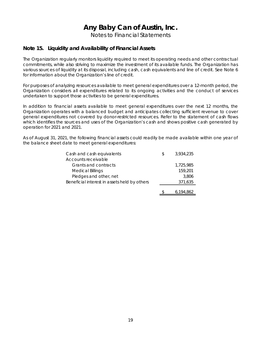Notes to Financial Statements

### **Note 15. Liquidity and Availability of Financial Assets**

The Organization regularly monitors liquidity required to meet its operating needs and other contractual commitments, while also striving to maximize the investment of its available funds. The Organization has various sources of liquidity at its disposal, including cash, cash equivalents and line of credit. See Note 6 for information about the Organization's line of credit.

For purposes of analyzing resources available to meet general expenditures over a 12-month period, the Organization considers all expenditures related to its ongoing activities and the conduct of services undertaken to support those activities to be general expenditures.

In addition to financial assets available to meet general expenditures over the next 12 months, the Organization operates with a balanced budget and anticipates collecting sufficient revenue to cover general expenditures not covered by donor-restricted resources. Refer to the statement of cash flows which identifies the sources and uses of the Organization's cash and shows positive cash generated by operation for 2021 and 2021.

As of August 31, 2021, the following financial assets could readily be made available within one year of the balance sheet date to meet general expenditures:

| Cash and cash equivalents                    | S | 3.934.235 |
|----------------------------------------------|---|-----------|
| Accounts receivable                          |   |           |
| Grants and contracts                         |   | 1,725,985 |
| <b>Medical Billings</b>                      |   | 159,201   |
| Pledges and other, net                       |   | 3,806     |
| Beneficial interest in assets held by others |   | 371,635   |
|                                              |   |           |
|                                              |   | 6.194.862 |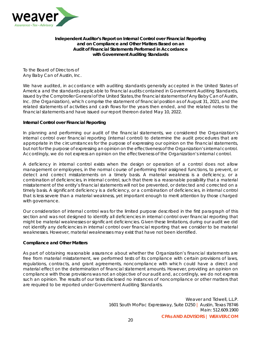

### **Independent Auditor's Report on Internal Control over Financial Reporting and on Compliance and Other Matters Based on an Audit of Financial Statements Performed in Accordance with** *Government Auditing Standards*

To the Board of Directors of Any Baby Can of Austin, Inc.

We have audited, in accordance with auditing standards generally accepted in the United States of America and the standards applicable to financial audits contained in *Government Auditing Standards,*  issued by the Comptroller General of the United States, the financial statements of Any Baby Can of Austin, Inc. (the Organization), which comprise the statement of financial position as of August 31, 2021, and the related statements of activities and cash flows for the years then ended, and the related notes to the financial statements and have issued our report thereon dated May 10, 2022.

### **Internal Control over Financial Reporting**

In planning and performing our audit of the financial statements, we considered the Organization's internal control over financial reporting (internal control) to determine the audit procedures that are appropriate in the circumstances for the purpose of expressing our opinion on the financial statements, but not for the purpose of expressing an opinion on the effectiveness of the Organization's internal control. Accordingly, we do not express an opinion on the effectiveness of the Organization's internal control.

A *deficiency in internal control* exists when the design or operation of a control does not allow management or employees, in the normal course of performing their assigned functions, to prevent, or detect and correct misstatements on a timely basis. A *material weakness* is a deficiency, or a combination of deficiencies, in internal control, such that there is a reasonable possibility that a material misstatement of the entity's financial statements will not be prevented, or detected and corrected on a timely basis. A *significant deficiency* is a deficiency, or a combination of deficiencies, in internal control that is less severe than a material weakness, yet important enough to merit attention by those charged with governance.

Our consideration of internal control was for the limited purpose described in the first paragraph of this section and was not designed to identify all deficiencies in internal control over financial reporting that might be material weaknesses or significant deficiencies. Given these limitations, during our audit we did not identify any deficiencies in internal control over financial reporting that we consider to be material weaknesses. However, material weaknesses may exist that have not been identified.

#### **Compliance and Other Matters**

As part of obtaining reasonable assurance about whether the Organization's financial statements are free from material misstatement, we performed tests of its compliance with certain provisions of laws, regulations, contracts, and grant agreements, noncompliance with which could have a direct and material effect on the determination of financial statement amounts. However, providing an opinion on compliance with those provisions was not an objective of our audit and, accordingly, we do not express such an opinion. The results of our tests disclosed no instances of noncompliance or other matters that are required to be reported under *Government Auditing Standards.*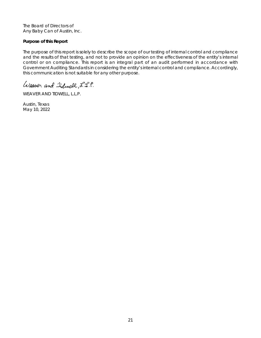The Board of Directors of Any Baby Can of Austin, Inc.

### **Purpose of this Report**

The purpose of this report is solely to describe the scope of our testing of internal control and compliance and the results of that testing, and not to provide an opinion on the effectiveness of the entity's internal control or on compliance. This report is an integral part of an audit performed in accordance with *Government Auditing Standards* in considering the entity's internal control and compliance. Accordingly, this communication is not suitable for any other purpose.

Weaver and Iduell, L.L.P.

WEAVER AND TIDWELL, L.L.P.

Austin, Texas May 10, 2022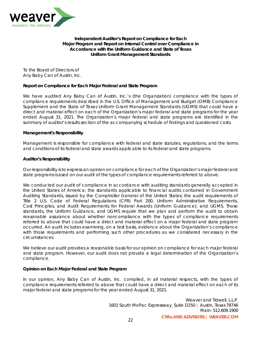

### **Independent Auditor's Report on Compliance for Each Major Program and Report on Internal Control over Compliance in Accordance with the Uniform Guidance and State of Texas Uniform Grant Management Standards**

To the Board of Directors of Any Baby Can of Austin, Inc.

### **Report on Compliance for Each Major Federal and State Program**

We have audited Any Baby Can of Austin, Inc.'s (the Organization) compliance with the types of compliance requirements described in the U.S. Office of Management and Budget (OMB) Compliance Supplement and the State of Texas Uniform Grant Management Standards (UGMS) that could have a direct and material effect on each of the Organization's major federal and state programs for the year ended August 31, 2021. The Organization's major federal and state programs are identified in the summary of auditor's results section of the accompanying schedule of findings and questioned costs.

#### **Management's Responsibility**

Management is responsible for compliance with federal and state statutes, regulations, and the terms and conditions of its federal and state awards applicable to its federal and state programs.

#### **Auditor's Responsibility**

Our responsibility is to express an opinion on compliance for each of the Organization's major federal and state programs based on our audit of the types of compliance requirements referred to above.

We conducted our audit of compliance in accordance with auditing standards generally accepted in the United States of America; the standards applicable to financial audits contained in *Government Auditing Standards*, issued by the Comptroller General of the United States; the audit requirements of Title 2 U.S. *Code of Federal Regulations* (CFR) Part 200, *Uniform Administrative Requirements, Cost Principles, and Audit Requirements for Federal Awards* (Uniform Guidance); and UGMS*.* Those standards, the Uniform Guidance, and UGMS require that we plan and perform the audit to obtain reasonable assurance about whether noncompliance with the types of compliance requirements referred to above that could have a direct and material effect on a major federal and state program occurred. An audit includes examining, on a test basis, evidence about the Organization's compliance with those requirements and performing such other procedures as we considered necessary in the circumstances.

We believe our audit provides a reasonable basis for our opinion on compliance for each major federal and state program. However, our audit does not provide a legal determination of the Organization's compliance.

### **Opinion on Each Major Federal and State Program**

In our opinion, Any Baby Can of Austin, Inc. complied, in all material respects, with the types of compliance requirements referred to above that could have a direct and material effect on each of its major federal and state programs for the year ended August 31, 2021.

> Weaver and Tidwell, L.L.P. 1601 South MoPac Expressway, Suite D250 *|* Austin, Texas 78746 Main: 512.609.1900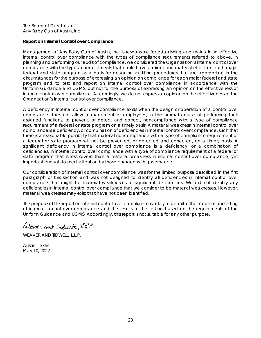The Board of Directors of Any Baby Can of Austin, Inc.

### **Report on Internal Control over Compliance**

Management of Any Baby Can of Austin, Inc. is responsible for establishing and maintaining effective internal control over compliance with the types of compliance requirements referred to above. In planning and performing our audit of compliance, we considered the Organization's internal control over compliance with the types of requirements that could have a direct and material effect on each major federal and state program as a basis for designing auditing procedures that are appropriate in the circumstances for the purpose of expressing an opinion on compliance for each major federal and state program and to test and report on internal control over compliance in accordance with the Uniform Guidance and UGMS, but not for the purpose of expressing an opinion on the effectiveness of internal control over compliance. Accordingly, we do not express an opinion on the effectiveness of the Organization's internal control over compliance.

A *deficiency in internal control over compliance* exists when the design or operation of a control over compliance does not allow management or employees, in the normal course of performing their assigned functions, to prevent, or detect and correct, noncompliance with a type of compliance requirement of a federal or state program on a timely basis. A *material weakness in internal control over compliance* is a deficiency, or combination of deficiencies in internal control over compliance, such that there is a reasonable possibility that material noncompliance with a type of compliance requirement of a federal or state program will not be prevented, or detected and corrected, on a timely basis. A *significant deficiency in internal control over compliance* is a deficiency, or a combination of deficiencies, in internal control over compliance with a type of compliance requirement of a federal or state program that is less severe than a material weakness in internal control over compliance, yet important enough to merit attention by those charged with governance.

Our consideration of internal control over compliance was for the limited purpose described in the first paragraph of this section and was not designed to identify all deficiencies in internal control over compliance that might be material weaknesses or significant deficiencies. We did not identify any deficiencies in internal control over compliance that we consider to be material weaknesses. However, material weaknesses may exist that have not been identified.

The purpose of this report on internal control over compliance is solely to describe the scope of our testing of internal control over compliance and the results of the testing based on the requirements of the Uniform Guidance and UGMS. Accordingly, this report is not suitable for any other purpose.

Weaver and Iiduall L.L.P.

WEAVER AND TIDWELL, L.I.P.

Austin, Texas May 10, 2022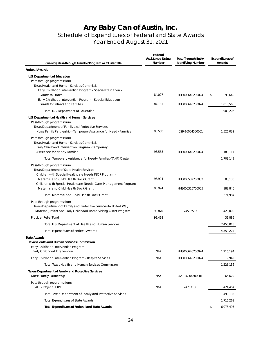### **Any Baby Can of Austin, Inc.**  Schedule of Expenditures of Federal and State Awards Year Ended August 31, 2021

| Grantor/Pass-through Grantor/Program or Cluster Title                                                                                                                                                                                         | Federal<br><b>Assistance Listing</b><br>Number | Pass-Through Entity<br><b>Identifying Number</b> | <b>Expenditures of</b><br>Awards |  |
|-----------------------------------------------------------------------------------------------------------------------------------------------------------------------------------------------------------------------------------------------|------------------------------------------------|--------------------------------------------------|----------------------------------|--|
| <b>Federal Awards</b>                                                                                                                                                                                                                         |                                                |                                                  |                                  |  |
| U.S. Department of Education<br>Pass-through programs from<br>Texas Health and Human Services Commission                                                                                                                                      |                                                |                                                  |                                  |  |
| Early Childhood Intervention Program - Special Education -<br><b>Grants to States</b><br>Early Childhood Intervention Program - Special Education -                                                                                           | 84.027                                         | HHS000640200024                                  | 98,640<br>\$                     |  |
| Grants for Infants and Families                                                                                                                                                                                                               | 84.181                                         | HHS000640200024                                  | 1,810,566                        |  |
| Total U.S. Department of Education                                                                                                                                                                                                            |                                                |                                                  | 1,909,206                        |  |
| U.S. Department of Health and Human Services<br>Pass-through programs from<br>Texas Department of Family and Protective Services<br>Nurse Family Partnership - Temporary Assistance for Needy Families                                        | 93.558                                         | 529-16004500001                                  | 1,526,032                        |  |
| Pass-through programs from<br>Texas Health and Human Services Commission<br>Early Childhood Intervention Program - Temporary<br>Assistance for Needy Families                                                                                 | 93.558                                         | HHS000640200024                                  | 183,117                          |  |
| Total Temporary Assistance for Needy Families (TANF) Cluster                                                                                                                                                                                  |                                                |                                                  | 1,709,149                        |  |
| Pass-through programs from<br>Texas Department of State Health Services<br>Children with Special Healthcare Needs FSCR Program -<br>Maternal and Child Health Block Grant<br>Children with Special Healthcare Needs Case Management Program - | 93.994                                         | HHS000532700002                                  | 83,138                           |  |
| Maternal and Child Health Block Grant                                                                                                                                                                                                         | 93.994                                         | HHS000315700005                                  | 188,846                          |  |
| Total Maternal and Child Health Block Grant                                                                                                                                                                                                   |                                                |                                                  | 271,984                          |  |
| Pass-through programs from<br>Texas Department of Family and Protective Services to United Way<br>Maternal, Infant and Early Childhood Home Visiting Grant Program                                                                            | 93.870                                         | 24532533                                         | 429,000                          |  |
| Provider Relief Fund                                                                                                                                                                                                                          | 93.498                                         |                                                  | 39,885                           |  |
| Total U.S. Department of Health and Human Services                                                                                                                                                                                            |                                                |                                                  | 2.450.018                        |  |
| <b>Total Expenditures of Federal Awards</b>                                                                                                                                                                                                   |                                                |                                                  | 4,359,224                        |  |
| <b>State Awards</b><br><b>Texas Health and Human Services Commission</b><br>Early Childhood Intervention Program -                                                                                                                            |                                                |                                                  |                                  |  |
| Early Childhood Intervention                                                                                                                                                                                                                  | N/A                                            | HHS000640200024                                  | 1,216,194                        |  |
| Early Childhood Intervention Program - Respite Services                                                                                                                                                                                       | N/A                                            | HHS000640200024                                  | 9,942                            |  |
| <b>Total Texas Health and Human Services Commission</b>                                                                                                                                                                                       |                                                |                                                  | 1,226,136                        |  |
| <b>Texas Department of Family and Protective Services</b><br>Nurse Family Partnership                                                                                                                                                         | N/A                                            | 529-16004500001                                  | 65,679                           |  |
| Pass-through programs from:<br>SAFE - Project HOPES                                                                                                                                                                                           | N/A                                            | 24767186                                         | 424,454                          |  |
| Total Texas Department of Family and Protective Services                                                                                                                                                                                      |                                                |                                                  | 490,133                          |  |
| <b>Total Expenditures of State Awards</b>                                                                                                                                                                                                     |                                                |                                                  | 1,716,269                        |  |
| <b>Total Expenditures of Federal and State Awards</b>                                                                                                                                                                                         |                                                |                                                  | \$<br>6,075,493                  |  |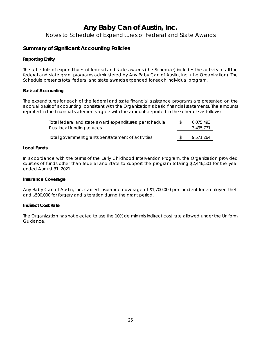Notes to Schedule of Expenditures of Federal and State Awards

### **Summary of Significant Accounting Policies**

### **Reporting Entity**

The schedule of expenditures of federal and state awards (the Schedule) includes the activity of all the federal and state grant programs administered by Any Baby Can of Austin, Inc. (the Organization). The Schedule presents total federal and state awards expended for each individual program.

### **Basis of Accounting**

The expenditures for each of the federal and state financial assistance programs are presented on the accrual basis of accounting, consistent with the Organization's basic financial statements. The amounts reported in the financial statements agree with the amounts reported in the schedule as follows:

| Total federal and state award expenditures per schedule | 6.075.493 |
|---------------------------------------------------------|-----------|
| Plus local funding sources                              | 3.495.771 |
|                                                         |           |
| Total government grants per statement of activities     | 9.571.264 |

### **Local Funds**

In accordance with the terms of the Early Childhood Intervention Program, the Organization provided sources of funds other than federal and state to support the program totaling \$2,446,501 for the year ended August 31, 2021.

### **Insurance Coverage**

Any Baby Can of Austin, Inc. carried insurance coverage of \$1,700,000 per incident for employee theft and \$500,000 for forgery and alteration during the grant period.

### **Indirect Cost Rate**

The Organization has not elected to use the 10% de minimis indirect cost rate allowed under the Uniform Guidance.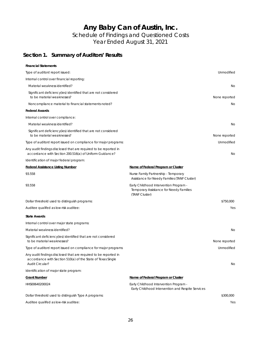Schedule of Findings and Questioned Costs Year Ended August 31, 2021

### **Section 1. Summary of Auditors' Results**

### **Financial Statements** Type of auditors' report issued: Unmodified Internal control over financial reporting: Material weakness identified? No was a state of the state of the state of the state of the state of the state of the state of the state of the state of the state of the state of the state of the state of the state of the s Significant deficiency(ies) identified that are not considered to be material weaknesses? None reported Noncompliance material to financial statements noted? No was approached by the statement of the statements noted? **Federal Awards** Internal control over compliance: Material weakness identified? No Significant deficiency(ies) identified that are not considered to be material weaknesses? None reported Type of auditors' report issued on compliance for major programs: Unmodified Any audit findings disclosed that are required to be reported in accordance with Section 200.516(a) of Uniform Guidance? No was accorded to the state of the No was accorded to the No Identification of major federal program: **Federal Assistance Listing Number Name of Federal Program or Cluster** 93.558 Nurse Family Partnership - Temporary Assistance for Needy Families (TANF Cluster) 93.558 Early Childhood Intervention Program - Temporary Assistance for Needy Families (TANF Cluster) Dollar threshold used to distinguish programs: \$750,000  $$750,000$ Auditee qualifed as low-risk auditee: Yes **State Awards** Internal control over major state programs: Material weakness identified? No contract the contract of the contract of the contract of the contract of the contract of the contract of the contract of the contract of the contract of the contract of the contract of the Significant deficiency(ies) identified that are not considered to be material weaknesses? None reported Type of auditors' report issued on compliance for major programs Unmodified Any audit findings disclosed that are required to be reported in accordance with Section 510(a) of the State of Texas Single Audit Circular? Note that the contract of the contract of the contract of the contract of the contract of the contract of the contract of the contract of the contract of the contract of the contract of the contract of the Identification of major state program: **Grant Number Name of Federal Program or Cluster** HHS00640200024 Early Childhood Intervention Program - Early Childhood Intervention and Respite Services Dollar threshold used to distinguish Type A programs: \$300,000 Auditee qualifed as low-risk auditee: Yes